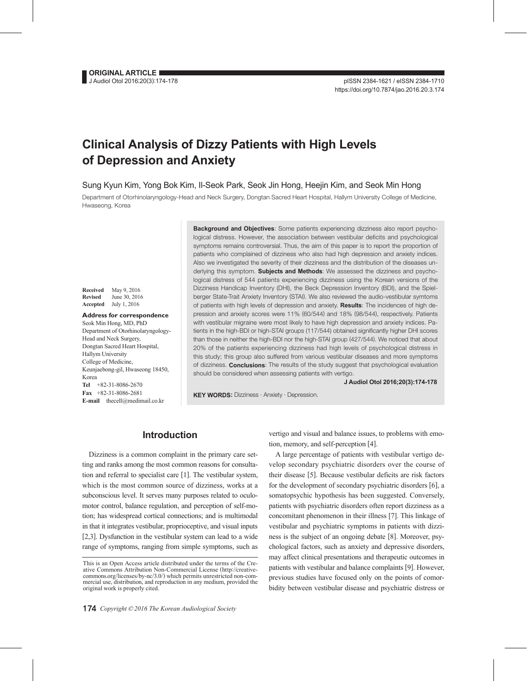# **Clinical Analysis of Dizzy Patients with High Levels of Depression and Anxiety**

Sung Kyun Kim, Yong Bok Kim, Il-Seok Park, Seok Jin Hong, Heejin Kim, and Seok Min Hong

Department of Otorhinolaryngology-Head and Neck Surgery, Dongtan Sacred Heart Hospital, Hallym University College of Medicine, Hwaseong, Korea

**Received** May 9, 2016 **Revised** June 30, 2016 **Accepted** July 1, 2016

**Address for correspondence** Seok Min Hong, MD, PhD Department of Otorhinolaryngology-Head and Neck Surgery, Dongtan Sacred Heart Hospital, Hallym University College of Medicine, Keunjaebong-gil, Hwaseong 18450, Korea **Tel** +82-31-8086-2670 **Fax** +82-31-8086-2681 **E-mail** thecell@medimail.co.kr

**Background and Objectives**: Some patients experiencing dizziness also report psychological distress. However, the association between vestibular deficits and psychological symptoms remains controversial. Thus, the aim of this paper is to report the proportion of patients who complained of dizziness who also had high depression and anxiety indices. Also we investigated the severity of their dizziness and the distribution of the diseases underlying this symptom. **Subjects and Methods**: We assessed the dizziness and psychological distress of 544 patients experiencing dizziness using the Korean versions of the Dizziness Handicap Inventory (DHI), the Beck Depression Inventory (BDI), and the Spielberger State-Trait Anxiety Inventory (STAI). We also reviewed the audio-vestibular symtoms of patients with high levels of depression and anxiety. **Results**: The incidences of high depression and anxiety scores were 11% (60/544) and 18% (98/544), respectively. Patients with vestibular migraine were most likely to have high depression and anxiety indices. Patients in the high-BDI or high-STAI groups (117/544) obtained significantly higher DHI scores than those in neither the high-BDI nor the high-STAI group (427/544). We noticed that about 20% of the patients experiencing dizziness had high levels of psychological distress in this study; this group also suffered from various vestibular diseases and more symptoms of dizziness. **Conclusions**: The results of the study suggest that psychological evaluation should be considered when assessing patients with vertigo.

**J Audiol Otol 2016;20(3):174-178**

**KEY WORDS:** Dizziness · Anxiety · Depression.

## **Introduction**

Dizziness is a common complaint in the primary care setting and ranks among the most common reasons for consultation and referral to specialist care [1]. The vestibular system, which is the most common source of dizziness, works at a subconscious level. It serves many purposes related to oculomotor control, balance regulation, and perception of self-motion; has widespread cortical connections; and is multimodal in that it integrates vestibular, proprioceptive, and visual inputs [2,3]. Dysfunction in the vestibular system can lead to a wide range of symptoms, ranging from simple symptoms, such as

vertigo and visual and balance issues, to problems with emotion, memory, and self-perception [4].

A large percentage of patients with vestibular vertigo develop secondary psychiatric disorders over the course of their disease [5]. Because vestibular deficits are risk factors for the development of secondary psychiatric disorders [6], a somatopsychic hypothesis has been suggested. Conversely, patients with psychiatric disorders often report dizziness as a concomitant phenomenon in their illness [7]. This linkage of vestibular and psychiatric symptoms in patients with dizziness is the subject of an ongoing debate [8]. Moreover, psychological factors, such as anxiety and depressive disorders, may affect clinical presentations and therapeutic outcomes in patients with vestibular and balance complaints [9]. However, previous studies have focused only on the points of comorbidity between vestibular disease and psychiatric distress or

This is an Open Access article distributed under the terms of the Creative Commons Attribution Non-Commercial License (http://creativecommons.org/licenses/by-nc/3.0/) which permits unrestricted non-commercial use, distribution, and reproduction in any medium, provided the original work is properly cited.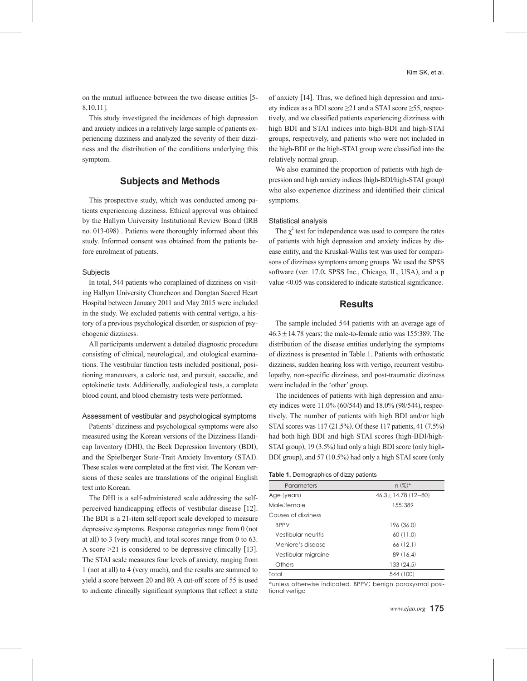on the mutual influence between the two disease entities [5- 8,10,11].

This study investigated the incidences of high depression and anxiety indices in a relatively large sample of patients experiencing dizziness and analyzed the severity of their dizziness and the distribution of the conditions underlying this symptom.

## **Subjects and Methods**

This prospective study, which was conducted among patients experiencing dizziness. Ethical approval was obtained by the Hallym University Institutional Review Board (IRB no. 013-098) . Patients were thoroughly informed about this study. Informed consent was obtained from the patients before enrolment of patients.

### **Subjects**

In total, 544 patients who complained of dizziness on visiting Hallym University Chuncheon and Dongtan Sacred Heart Hospital between January 2011 and May 2015 were included in the study. We excluded patients with central vertigo, a history of a previous psychological disorder, or suspicion of psychogenic dizziness.

All participants underwent a detailed diagnostic procedure consisting of clinical, neurological, and otological examinations. The vestibular function tests included positional, positioning maneuvers, a caloric test, and pursuit, saccadic, and optokinetic tests. Additionally, audiological tests, a complete blood count, and blood chemistry tests were performed.

#### Assessment of vestibular and psychological symptoms

Patients' dizziness and psychological symptoms were also measured using the Korean versions of the Dizziness Handicap Inventory (DHI), the Beck Depression Inventory (BDI), and the Spielberger State-Trait Anxiety Inventory (STAI). These scales were completed at the first visit. The Korean versions of these scales are translations of the original English text into Korean.

The DHI is a self-administered scale addressing the selfperceived handicapping effects of vestibular disease [12]. The BDI is a 21-item self-report scale developed to measure depressive symptoms. Response categories range from 0 (not at all) to 3 (very much), and total scores range from 0 to 63. A score >21 is considered to be depressive clinically [13]. The STAI scale measures four levels of anxiety, ranging from 1 (not at all) to 4 (very much), and the results are summed to yield a score between 20 and 80. A cut-off score of 55 is used to indicate clinically significant symptoms that reflect a state of anxiety [14]. Thus, we defined high depression and anxiety indices as a BDI score ≥21 and a STAI score ≥55, respectively, and we classified patients experiencing dizziness with high BDI and STAI indices into high-BDI and high-STAI groups, respectively, and patients who were not included in the high-BDI or the high-STAI group were classified into the relatively normal group.

We also examined the proportion of patients with high depression and high anxiety indices (high-BDI/high-STAI group) who also experience dizziness and identified their clinical symptoms.

#### Statistical analysis

The  $\chi^2$  test for independence was used to compare the rates of patients with high depression and anxiety indices by disease entity, and the Kruskal-Wallis test was used for comparisons of dizziness symptoms among groups. We used the SPSS software (ver. 17.0; SPSS Inc., Chicago, IL, USA), and a p value <0.05 was considered to indicate statistical significance.

## **Results**

The sample included 544 patients with an average age of  $46.3 \pm 14.78$  years; the male-to-female ratio was 155:389. The distribution of the disease entities underlying the symptoms of dizziness is presented in Table 1. Patients with orthostatic dizziness, sudden hearing loss with vertigo, recurrent vestibulopathy, non-specific dizziness, and post-traumatic dizziness were included in the 'other' group.

The incidences of patients with high depression and anxiety indices were 11.0% (60/544) and 18.0% (98/544), respectively. The number of patients with high BDI and/or high STAI scores was 117 (21.5%). Of these 117 patients, 41 (7.5%) had both high BDI and high STAI scores (high-BDI/high-STAI group), 19 (3.5%) had only a high BDI score (only high-BDI group), and 57 (10.5%) had only a high STAI score (only

|  | Table 1. Demographics of dizzy patients |  |  |
|--|-----------------------------------------|--|--|
|--|-----------------------------------------|--|--|

| Parameters          | $n (%)^*$                |
|---------------------|--------------------------|
| Age (years)         | $46.3 \pm 14.78$ (12-80) |
| Male:female         | 155:389                  |
| Causes of dizziness |                          |
| <b>BPPV</b>         | 196 (36.0)               |
| Vestibular neuritis | 60(11.0)                 |
| Meniere's disease   | 66(12.1)                 |
| Vestibular migraine | 89 (16.4)                |
| Others              | 133(24.5)                |
| Total               | 544 (100)                |

\*unless otherwise indicated. BPPV: benign paroxysmal positional vertigo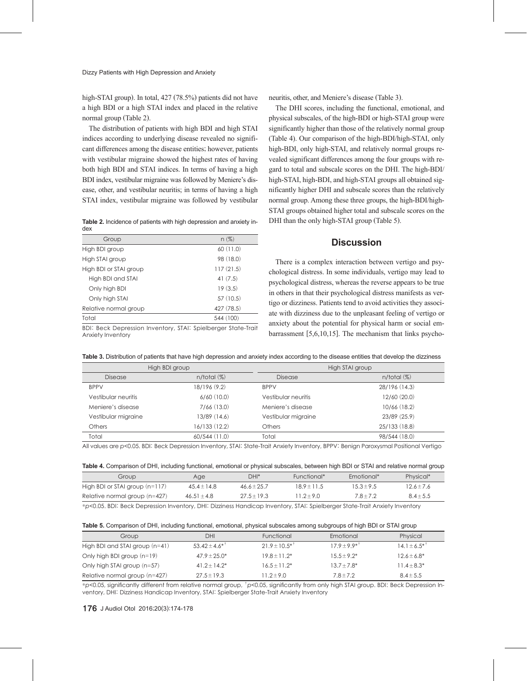high-STAI group). In total, 427 (78.5%) patients did not have a high BDI or a high STAI index and placed in the relative normal group (Table 2).

The distribution of patients with high BDI and high STAI indices according to underlying disease revealed no significant differences among the disease entities; however, patients with vestibular migraine showed the highest rates of having both high BDI and STAI indices. In terms of having a high BDI index, vestibular migraine was followed by Meniere's disease, other, and vestibular neuritis; in terms of having a high STAI index, vestibular migraine was followed by vestibular

**Table 2.** Incidence of patients with high depression and anxiety index

| Group                  | $n(\%)$    |
|------------------------|------------|
| High BDI group         | 60(11.0)   |
| High STAI group        | 98 (18.0)  |
| High BDI or STAI group | 117(21.5)  |
| High BDI and STAI      | 41(7.5)    |
| Only high BDI          | 19(3.5)    |
| Only high STAI         | 57(10.5)   |
| Relative normal group  | 427 (78.5) |
| Total                  | 544 (100)  |
|                        |            |

BDI: Beck Depression Inventory, STAI: Spielberger State-Trait Anxiety Inventory

neuritis, other, and Meniere's disease (Table 3).

The DHI scores, including the functional, emotional, and physical subscales, of the high-BDI or high-STAI group were significantly higher than those of the relatively normal group (Table 4). Our comparison of the high-BDI/high-STAI, only high-BDI, only high-STAI, and relatively normal groups revealed significant differences among the four groups with regard to total and subscale scores on the DHI. The high-BDI/ high-STAI, high-BDI, and high-STAI groups all obtained significantly higher DHI and subscale scores than the relatively normal group. Among these three groups, the high-BDI/high-STAI groups obtained higher total and subscale scores on the DHI than the only high-STAI group (Table 5).

## **Discussion**

There is a complex interaction between vertigo and psychological distress. In some individuals, vertigo may lead to psychological distress, whereas the reverse appears to be true in others in that their psychological distress manifests as vertigo or dizziness. Patients tend to avoid activities they associate with dizziness due to the unpleasant feeling of vertigo or anxiety about the potential for physical harm or social embarrassment [5,6,10,15]. The mechanism that links psycho-

|  |  |  |  |  | Table 3. Distribution of patients that have high depression and anxiety index according to the disease entities that develop the dizziness |
|--|--|--|--|--|--------------------------------------------------------------------------------------------------------------------------------------------|
|--|--|--|--|--|--------------------------------------------------------------------------------------------------------------------------------------------|

|                     | High BDI group |                     | High STAI group |
|---------------------|----------------|---------------------|-----------------|
| <b>Disease</b>      | $n/total$ (%)  | <b>Disease</b>      | $n/total$ (%)   |
| <b>BPPV</b>         | 18/196 (9.2)   | <b>BPPV</b>         | 28/196 (14.3)   |
| Vestibular neuritis | 6/60(10.0)     | Vestibular neuritis | 12/60(20.0)     |
| Meniere's disease   | 7/66(13.0)     | Meniere's disease   | 10/66(18.2)     |
| Vestibular migraine | 13/89 (14.6)   | Vestibular migraine | 23/89(25.9)     |
| <b>Others</b>       | 16/133 (12.2)  | <b>Others</b>       | 25/133 (18.8)   |
| Total               | 60/544(11.0)   | Total               | 98/544 (18.0)   |

All values are *p*<0.05. BDI: Beck Depression Inventory, STAI: State-Trait Anxiety Inventory, BPPV: Benign Paroxysmal Positional Vertigo

| Table 4. Comparison of DHI, including functional, emotional or physical subscales, between high BDI or STAI and relative normal group |  |  |  |
|---------------------------------------------------------------------------------------------------------------------------------------|--|--|--|
|---------------------------------------------------------------------------------------------------------------------------------------|--|--|--|

| Group                            | Age             | $DHI^*$         | Functional*     | Emotional*     | Physical*      |
|----------------------------------|-----------------|-----------------|-----------------|----------------|----------------|
| High BDI or STAI group $(n=117)$ | $45.4 \pm 14.8$ | $46.6 \pm 25.7$ | $18.9 \pm 11.5$ | $15.3 \pm 9.5$ | $12.6 \pm 7.6$ |
| Relative normal group $(n=427)$  | $46.51 \pm 4.8$ | $27.5 \pm 19.3$ | $11.2 \pm 9.0$  | $7.8 \pm 7.2$  | $8.4 \pm 5.5$  |
|                                  |                 |                 |                 |                |                |

\**p*<0.05. BDI: Beck Depression Inventory, DHI: Dizziness Handicap Inventory, STAI: Spielberger State-Trait Anxiety Inventory

| Table 5. Comparison of DHI, including functional, emotional, physical subscales among subgroups of high BDI or STAI group |  |  |  |
|---------------------------------------------------------------------------------------------------------------------------|--|--|--|
|---------------------------------------------------------------------------------------------------------------------------|--|--|--|

| Group                            | DHI                 | Functional          | Emotional                 | Physical           |
|----------------------------------|---------------------|---------------------|---------------------------|--------------------|
| High BDI and STAI group $(n=41)$ | $53.42 \pm 4.6^{*}$ | $21.9 \pm 10.5^{*}$ | $17.9 + 9.9$ <sup>*</sup> | $14.1 \pm 6.5^{*}$ |
| Only high BDI group $(n=19)$     | $47.9 \pm 25.0*$    | $19.8 \pm 11.2^*$   | $15.5 \pm 9.2^*$          | $12.6 \pm 6.8^*$   |
| Only high STAI group (n=57)      | $41.2 + 14.2*$      | $16.5 + 11.2*$      | $13.7 \pm 7.8^*$          | $11.4 \pm 8.3^*$   |
| Relative normal group $(n=427)$  | $27.5 \pm 19.3$     | $11.2 \pm 9.0$      | $7.8 \pm 7.2$             | $8.4 \pm 5.5$      |

\**p*<0.05, significantly different from relative normal group, †*p*<0.05, significantly from only high STAI group. BDI: Beck Depression Inventory, DHI: Dizziness Handicap Inventory, STAI: Spielberger State-Trait Anxiety Inventory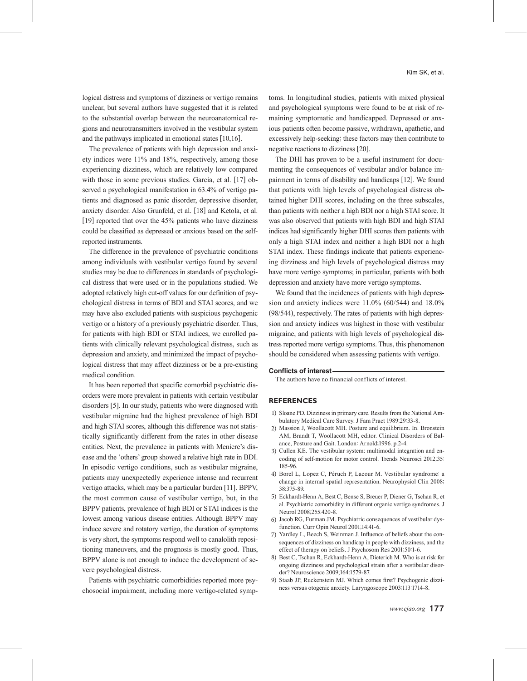logical distress and symptoms of dizziness or vertigo remains unclear, but several authors have suggested that it is related to the substantial overlap between the neuroanatomical regions and neurotransmitters involved in the vestibular system and the pathways implicated in emotional states [10,16].

The prevalence of patients with high depression and anxiety indices were 11% and 18%, respectively, among those experiencing dizziness, which are relatively low compared with those in some previous studies. Garcia, et al. [17] observed a psychological manifestation in 63.4% of vertigo patients and diagnosed as panic disorder, depressive disorder, anxiety disorder. Also Grunfeld, et al. [18] and Ketola, et al. [19] reported that over the 45% patients who have dizziness could be classified as depressed or anxious based on the selfreported instruments.

The difference in the prevalence of psychiatric conditions among individuals with vestibular vertigo found by several studies may be due to differences in standards of psychological distress that were used or in the populations studied. We adopted relatively high cut-off values for our definition of psychological distress in terms of BDI and STAI scores, and we may have also excluded patients with suspicious psychogenic vertigo or a history of a previously psychiatric disorder. Thus, for patients with high BDI or STAI indices, we enrolled patients with clinically relevant psychological distress, such as depression and anxiety, and minimized the impact of psychological distress that may affect dizziness or be a pre-existing medical condition.

It has been reported that specific comorbid psychiatric disorders were more prevalent in patients with certain vestibular disorders [5]. In our study, patients who were diagnosed with vestibular migraine had the highest prevalence of high BDI and high STAI scores, although this difference was not statistically significantly different from the rates in other disease entities. Next, the prevalence in patients with Meniere's disease and the 'others' group showed a relative high rate in BDI. In episodic vertigo conditions, such as vestibular migraine, patients may unexpectedly experience intense and recurrent vertigo attacks, which may be a particular burden [11]. BPPV, the most common cause of vestibular vertigo, but, in the BPPV patients, prevalence of high BDI or STAI indices is the lowest among various disease entities. Although BPPV may induce severe and rotatory vertigo, the duration of symptoms is very short, the symptoms respond well to canalolith repositioning maneuvers, and the prognosis is mostly good. Thus, BPPV alone is not enough to induce the development of severe psychological distress.

Patients with psychiatric comorbidities reported more psychosocial impairment, including more vertigo-related symp-

toms. In longitudinal studies, patients with mixed physical and psychological symptoms were found to be at risk of remaining symptomatic and handicapped. Depressed or anxious patients often become passive, withdrawn, apathetic, and excessively help-seeking; these factors may then contribute to negative reactions to dizziness [20].

The DHI has proven to be a useful instrument for documenting the consequences of vestibular and/or balance impairment in terms of disability and handicaps [12]. We found that patients with high levels of psychological distress obtained higher DHI scores, including on the three subscales, than patients with neither a high BDI nor a high STAI score. It was also observed that patients with high BDI and high STAI indices had significantly higher DHI scores than patients with only a high STAI index and neither a high BDI nor a high STAI index. These findings indicate that patients experiencing dizziness and high levels of psychological distress may have more vertigo symptoms; in particular, patients with both depression and anxiety have more vertigo symptoms.

We found that the incidences of patients with high depression and anxiety indices were 11.0% (60/544) and 18.0% (98/544), respectively. The rates of patients with high depression and anxiety indices was highest in those with vestibular migraine, and patients with high levels of psychological distress reported more vertigo symptoms. Thus, this phenomenon should be considered when assessing patients with vertigo.

#### **Conflicts of interest**

The authors have no financial conflicts of interest.

#### **REFERENCES**

- 1) Sloane PD. Dizziness in primary care. Results from the National Ambulatory Medical Care Survey. J Fam Pract 1989;29:33-8.
- 2) Massion J, Woollacott MH. Posture and equilibrium. In: Bronstein AM, Brandt T, Woollacott MH, editor. Clinical Disorders of Balance, Posture and Gait. London: Arnold;1996. p.2-4.
- 3) Cullen KE. The vestibular system: multimodal integration and encoding of self-motion for motor control. Trends Neurosci 2012;35: 185-96.
- 4) Borel L, Lopez C, Péruch P, Lacour M. Vestibular syndrome: a change in internal spatial representation. Neurophysiol Clin 2008; 38:375-89.
- 5) Eckhardt-Henn A, Best C, Bense S, Breuer P, Diener G, Tschan R, et al. Psychiatric comorbidity in different organic vertigo syndromes. J Neurol 2008;255:420-8.
- 6) Jacob RG, Furman JM. Psychiatric consequences of vestibular dysfunction. Curr Opin Neurol 2001;14:41-6.
- 7) Yardley L, Beech S, Weinman J. Influence of beliefs about the consequences of dizziness on handicap in people with dizziness, and the effect of therapy on beliefs. J Psychosom Res 2001;50:1-6.
- 8) Best C, Tschan R, Eckhardt-Henn A, Dieterich M. Who is at risk for ongoing dizziness and psychological strain after a vestibular disorder? Neuroscience 2009;164:1579-87.
- 9) Staab JP, Ruckenstein MJ. Which comes first? Psychogenic dizziness versus otogenic anxiety. Laryngoscope 2003;113:1714-8.